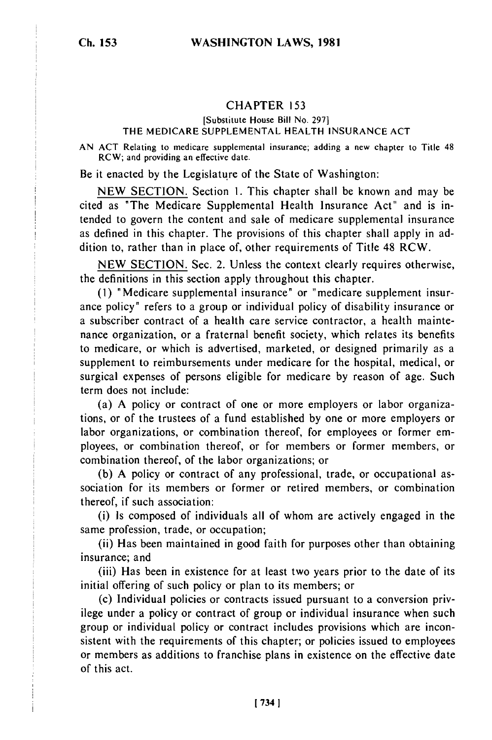## CHAPTER **153**

## [Substitute House Bill No. 297] THE MEDICARE **SUPPLEMENTAL** HEALTH **INSURANCE ACT**

AN ACT Relating to medicare supplemental insurance; adding a new chapter to Title 48 RCW; and providing an effective date.

Be it enacted by the Legislature of the State of Washington:

NEW SECTION. Section 1. This chapter shall be known and may be cited as "The Medicare Supplemental Health Insurance Act" and is intended to govern the content and sale of medicare supplemental insurance as defined in this chapter. The provisions of this chapter shall apply in addition to, rather than in place of, other requirements of Title 48 RCW.

NEW SECTION. Sec. 2. Unless the context clearly requires otherwise, the definitions in this section apply throughout this chapter.

(1) "Medicare supplemental insurance" or "medicare supplement insurance policy" refers to a group or individual policy of disability insurance or a subscriber contract of a health care service contractor, a health maintenance organization, or a fraternal benefit society, which relates its benefits to medicare, or which is advertised, marketed, or designed primarily as a supplement to reimbursements under medicare for the hospital, medical, or surgical expenses of persons eligible for medicare by reason of age. Such term does not include:

(a) A policy or contract of one or more employers or labor organizations, or of the trustees of a fund established by one or more employers or labor organizations, or combination thereof, for employees or former employees, or combination thereof, or for members or former members, or combination thereof, of the labor organizations; or

(b) A policy or contract of any professional, trade, or occupational association for its members or former or retired members, or combination thereof, if such association:

(i) Is composed of individuals all of whom are actively engaged in the same profession, trade, or occupation;

(ii) Has been maintained in good faith for purposes other than obtaining insurance; and

(iii) Has been in existence for at least two years prior to the date of its initial offering of such policy or plan to its members; or

(c) Individual policies or contracts issued pursuant to a conversion privilege under a policy or contract of group or individual insurance when such group or individual policy or contract includes provisions which are inconsistent with the requirements of this chapter; or policies issued to employees or members as additions to franchise plans in existence on the effective date of this act.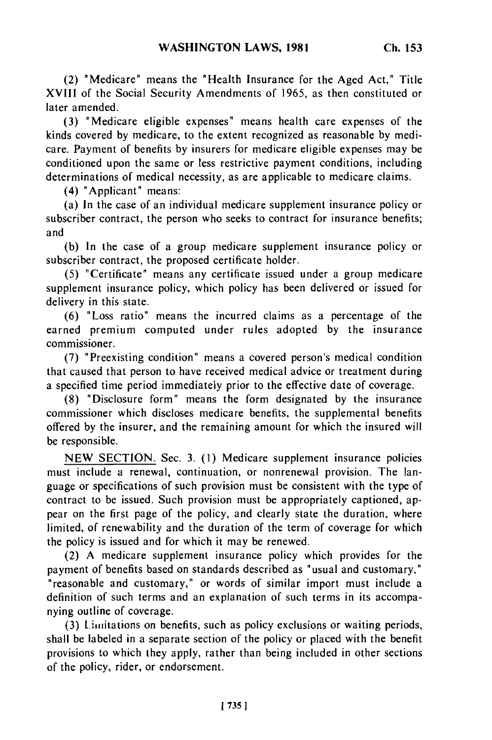(2) "Medicare" means the "Health Insurance for the Aged Act," Title XVIII of the Social Security Amendments of 1965, as then constituted or later amended.

(3) "Medicare eligible expenses" means health care expenses of the kinds covered by medicare, to the extent recognized as reasonable by medicare. Payment of benefits by insurers for medicare eligible expenses may be conditioned upon the same or less restrictive payment conditions, including determinations of medical necessity, as are applicable to medicare claims.

(4) "Applicant" means:

(a) In the case of an individual medicare supplement insurance policy or subscriber contract, the person who seeks to contract for insurance benefits; and

(b) In the case of a group medicare supplement insurance policy or subscriber contract, the proposed certificate holder.

(5) "Certificate" means any certificate issued under a group medicare supplement insurance policy, which policy has been delivered or issued for delivery in this state.

(6) "Loss ratio" means the incurred claims as a percentage of the earned premium computed under rules adopted by the insurance commissioner.

(7) "Preexisting condition" means a covered person's medical condition that caused that person to have received medical advice or treatment during a specified time period immediately prior to the effective date of coverage.

(8) "Disclosure form" means the form designated by the insurance commissioner which discloses medicare benefits, the supplemental benefits offered by the insurer, and the remaining amount for which the insured will be responsible.

NEW SECTION. Sec. 3. (1) Medicare supplement insurance policies must include a renewal, continuation, or nonrenewal provision. The language or specifications of such provision must be consistent with the type of contract to be issued. Such provision must be appropriately captioned, appear on the first page of the policy, and clearly state the duration, where limited, of renewability and the duration of the term of coverage for which the policy is issued and for which it may be renewed.

(2) A medicare supplement insurance policy which provides for the payment of benefits based on standards described as "usual and customary," "reasonable and customary," or words of similar import must include a definition of such terms and an explanation of such terms in its accompanying outline of coverage.

(3) 1.imitations on benefits, such as policy exclusions or waiting periods, shall be labeled in a separate section of the policy or placed with the benefit provisions to which they apply, rather than being included in other sections of the policy, rider, or endorsement.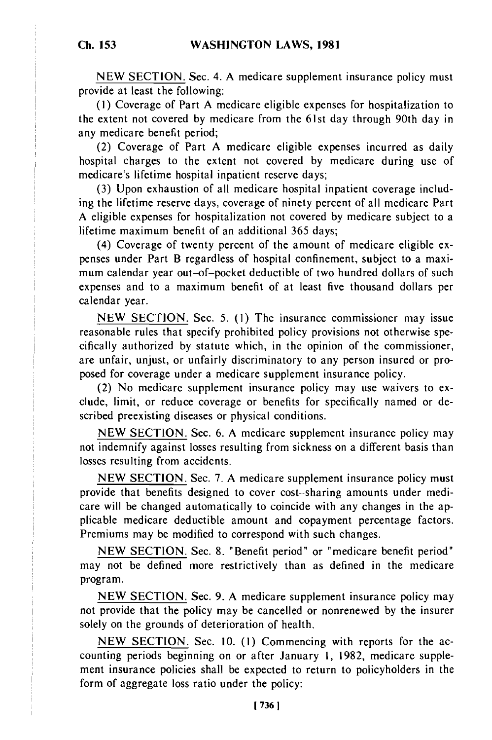NEW SECTION. Sec. 4. A medicare supplement insurance policy must provide at least the following:

(1) Coverage of Part A medicare eligible expenses for hospitalization to the extent not covered by medicare from the 61st day through 90th day in any medicare benefit period;

(2) Coverage of Part A medicare eligible expenses incurred as daily hospital charges to the extent not covered by medicare during use of medicare's lifetime hospital inpatient reserve days;

(3) Upon exhaustion of all medicare hospital inpatient coverage including the lifetime reserve days, coverage of ninety percent of all medicare Part A eligible expenses for hospitalization not covered by medicare subject to a lifetime maximum benefit of an additional 365 days;

(4) Coverage of twenty percent of the amount of medicare eligible expenses under Part B regardless of hospital confinement, subject to a maximum calendar year out-of-pocket deductible of two hundred dollars of such expenses and to a maximum benefit of at least five thousand dollars per calendar year.

NEW SECTION. Sec. 5. (1) The insurance commissioner may issue reasonable rules that specify prohibited policy provisions not otherwise specifically authorized by statute which, in the opinion of the commissioner, are unfair, unjust, or unfairly discriminatory to any person insured or proposed for coverage under a medicare supplement insurance policy.

(2) No medicare supplement insurance policy may use waivers to exclude, limit, or reduce coverage or benefits for specifically named or described preexisting diseases or physical conditions.

NEW SECTION. Sec. 6. A medicare supplement insurance policy may not indemnify against losses resulting from sickness on a different basis than losses resulting from accidents.

NEW SECTION. Sec. 7. A medicare supplement insurance policy must provide that benefits designed to cover cost-sharing amounts under medicare will be changed automatically to coincide with any changes in the applicable medicare deductible amount and copayment percentage factors. Premiums may be modified to correspond with such changes.

NEW SECTION. Sec. 8. "Benefit period" or "medicare benefit period" may not be defined more restrictively than as defined in the medicare program.

NEW SECTION. Sec. 9. A medicare supplement insurance policy may not provide that the policy may be cancelled or nonrenewed by the insurer solely on the grounds of deterioration of health.

NEW SECTION. Sec. 10. (1) Commencing with reports for the accounting periods beginning on or after January 1, 1982, medicare supplement insurance policies shall be expected to return to policyholders in the form of aggregate loss ratio under the policy: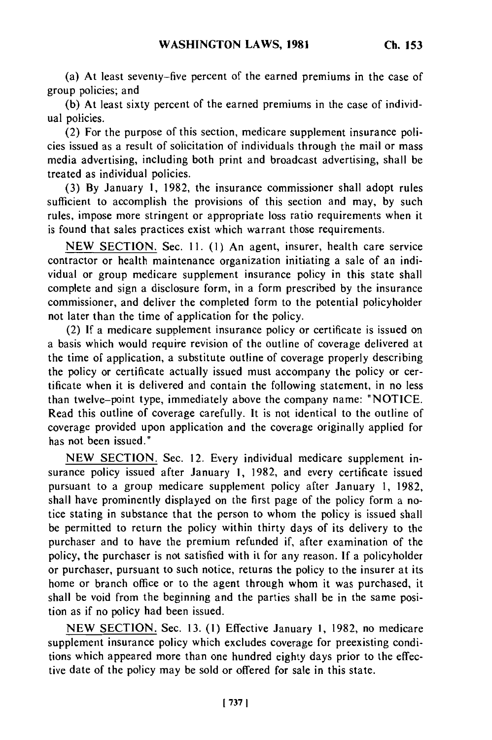(a) At least seventy-five percent of the earned premiums in the case of group policies; and

(b) At least sixty percent of the earned premiums in the case of individual policies.

(2) For the purpose of this section, medicare supplement insurance policies issued as a result of solicitation of individuals through the mail or mass media advertising, including both print and broadcast advertising, shall be treated as individual policies.

(3) By January 1, 1982, the insurance commissioner shall adopt rules sufficient to accomplish the provisions of this section and may, by such rules, impose more stringent or appropriate loss ratio requirements when it is found that sales practices exist which warrant those requirements.

NEW SECTION. Sec. 11. (1) An agent, insurer, health care service contractor or health maintenance organization initiating a sale of an individual or group medicare supplement insurance policy in this state shall complete and sign a disclosure form, in a form prescribed by the insurance commissioner, and deliver the completed form to the potential policyholder not later than the time of application for the policy.

(2) If a medicare supplement insurance policy or certificate is issued on a basis which would require revision of the outline of coverage delivered at the time of application, a substitute outline of coverage properly describing the policy or certificate actually issued must accompany the policy or certificate when it is delivered and contain the following statement, in no less than twelve-point type, immediately above the company name: "NOTICE. Read this outline of coverage carefully. It is not identical to the outline of coverage provided upon application and the coverage originally applied for has not been issued."

NEW SECTION. Sec. 12. Every individual medicare supplement insurance policy issued after January **1,** 1982, and every certificate issued pursuant to a group medicare supplement policy after January 1, 1982, shall have prominently displayed on the first page of the policy form a notice stating in substance that the person to whom the policy is issued shall be permitted to return the policy within thirty days of its delivery to the purchaser and to have the premium refunded if, after examination of the policy, the purchaser is not satisfied with it for any reason. If a policyholder or purchaser, pursuant to such notice, returns the policy to the insurer at its home or branch office or to the agent through whom it was purchased, it shall be void from the beginning and the parties shall be in the same position as if no policy had been issued.

NEW SECTION. Sec. 13. (1) Effective January 1, 1982, no medicare supplement insurance policy which excludes coverage for preexisting conditions which appeared more than one hundred eighty days prior to the effective date of the policy may be sold or offered for sale in this state.